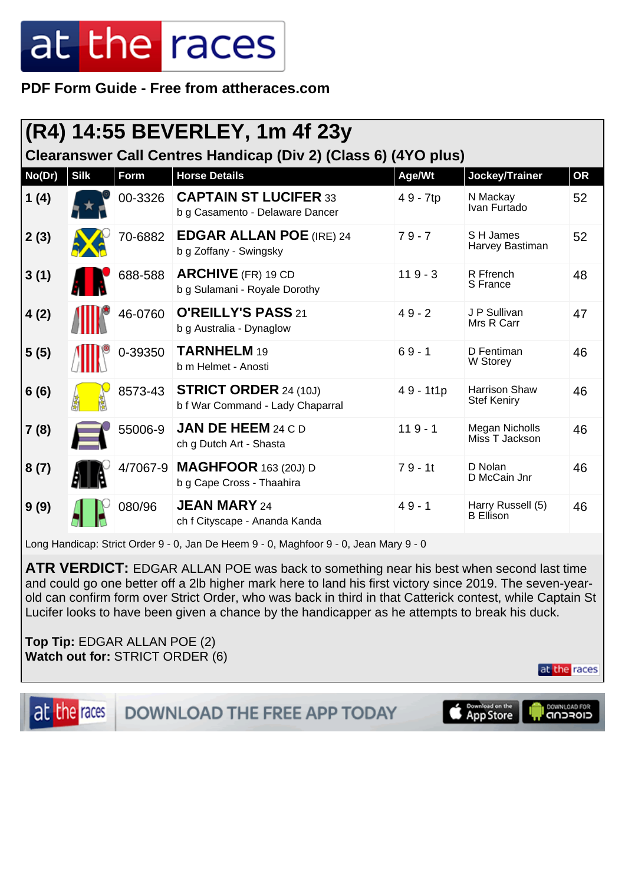**PDF Form Guide - Free from attheraces.com**

| (R4) 14:55 BEVERLEY, 1m 4f 23y<br>Clearanswer Call Centres Handicap (Div 2) (Class 6) (4YO plus) |      |          |                                                                  |           |                                            |           |  |  |
|--------------------------------------------------------------------------------------------------|------|----------|------------------------------------------------------------------|-----------|--------------------------------------------|-----------|--|--|
| No(Dr)                                                                                           | Silk | Form     | <b>Horse Details</b>                                             | Age/Wt    | Jockey/Trainer                             | <b>OR</b> |  |  |
| 1(4)                                                                                             |      | 00-3326  | <b>CAPTAIN ST LUCIFER 33</b><br>b g Casamento - Delaware Dancer  | 49 - 7tp  | N Mackay<br>Ivan Furtado                   | 52        |  |  |
| 2(3)                                                                                             |      | 70-6882  | <b>EDGAR ALLAN POE (IRE) 24</b><br>b g Zoffany - Swingsky        | $79 - 7$  | S H James<br>Harvey Bastiman               | 52        |  |  |
| 3(1)                                                                                             |      | 688-588  | <b>ARCHIVE</b> (FR) 19 CD<br>b g Sulamani - Royale Dorothy       | $119 - 3$ | R Ffrench<br>S France                      | 48        |  |  |
| 4(2)                                                                                             |      | 46-0760  | O'REILLY'S PASS 21<br>b g Australia - Dynaglow                   | $49 - 2$  | J P Sullivan<br>Mrs R Carr                 | 47        |  |  |
| 5(5)                                                                                             |      | 0-39350  | TARNHELM 19<br>b m Helmet - Anosti                               | $69 - 1$  | D Fentiman<br>W Storey                     | 46        |  |  |
| 6(6)                                                                                             |      | 8573-43  | <b>STRICT ORDER 24 (10J)</b><br>b f War Command - Lady Chaparral | 49 - 1t1p | <b>Harrison Shaw</b><br><b>Stef Keniry</b> | 46        |  |  |
| 7(8)                                                                                             |      | 55006-9  | <b>JAN DE HEEM 24 C D</b><br>ch g Dutch Art - Shasta             | $119 - 1$ | <b>Megan Nicholls</b><br>Miss T Jackson    | 46        |  |  |
| 8(7)                                                                                             |      | 4/7067-9 | <b>MAGHFOOR</b> 163 (20J) D<br>b g Cape Cross - Thaahira         | $79 - 11$ | D Nolan<br>D McCain Jnr                    | 46        |  |  |
| 9(9)                                                                                             |      | 080/96   | <b>JEAN MARY 24</b><br>ch f Cityscape - Ananda Kanda             | $49 - 1$  | Harry Russell (5)<br><b>B</b> Ellison      | 46        |  |  |

Long Handicap: Strict Order 9 - 0, Jan De Heem 9 - 0, Maghfoor 9 - 0, Jean Mary 9 - 0

**ATR VERDICT:** EDGAR ALLAN POE was back to something near his best when second last time and could go one better off a 2lb higher mark here to land his first victory since 2019. The seven-yearold can confirm form over Strict Order, who was back in third in that Catterick contest, while Captain St Lucifer looks to have been given a chance by the handicapper as he attempts to break his duck.

**Top Tip:** EDGAR ALLAN POE (2) **Watch out for:** STRICT ORDER (6)



**DOWNLOAD THE FREE APP TODAY** 

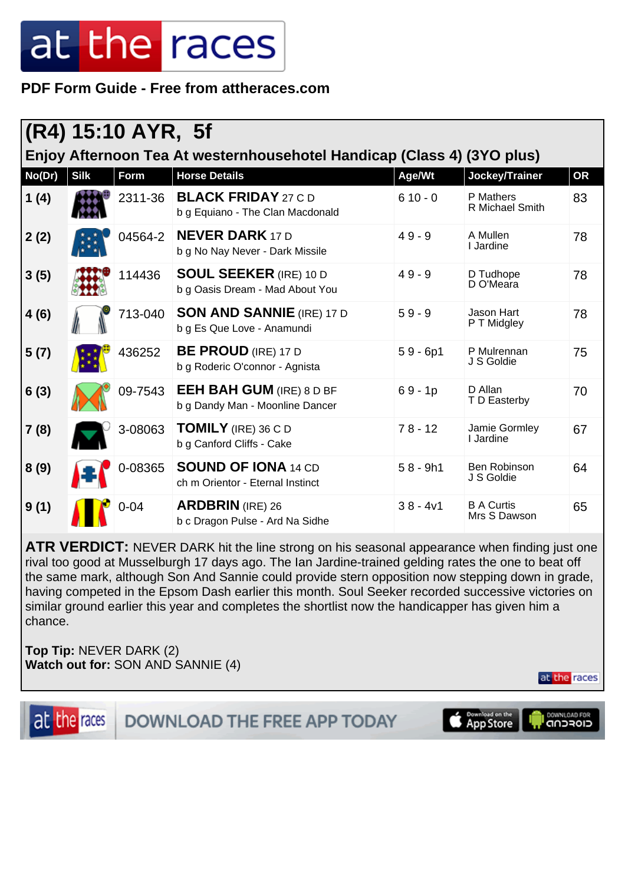**PDF Form Guide - Free from attheraces.com**

|                                                                        | (R4) 15:10 AYR, 5f |             |                                                                    |            |                                   |           |  |  |  |
|------------------------------------------------------------------------|--------------------|-------------|--------------------------------------------------------------------|------------|-----------------------------------|-----------|--|--|--|
| Enjoy Afternoon Tea At westernhousehotel Handicap (Class 4) (3YO plus) |                    |             |                                                                    |            |                                   |           |  |  |  |
| No(Dr)                                                                 | <b>Silk</b>        | <b>Form</b> | <b>Horse Details</b>                                               | Age/Wt     | Jockey/Trainer                    | <b>OR</b> |  |  |  |
| 1(4)                                                                   |                    | 2311-36     | <b>BLACK FRIDAY 27 C D</b><br>b g Equiano - The Clan Macdonald     | $610 - 0$  | P Mathers<br>R Michael Smith      | 83        |  |  |  |
| 2(2)                                                                   |                    | 04564-2     | <b>NEVER DARK 17 D</b><br>b g No Nay Never - Dark Missile          | $49 - 9$   | A Mullen<br>I Jardine             | 78        |  |  |  |
| 3(5)                                                                   |                    | 114436      | <b>SOUL SEEKER (IRE) 10 D</b><br>b g Oasis Dream - Mad About You   | $49 - 9$   | D Tudhope<br>D O'Meara            | 78        |  |  |  |
| 4(6)                                                                   |                    | 713-040     | <b>SON AND SANNIE (IRE) 17 D</b><br>b g Es Que Love - Anamundi     | $59 - 9$   | Jason Hart<br>P T Midgley         | 78        |  |  |  |
| 5(7)                                                                   |                    | 436252      | <b>BE PROUD</b> (IRE) 17 D<br>b g Roderic O'connor - Agnista       | $59 - 6p1$ | P Mulrennan<br>J S Goldie         | 75        |  |  |  |
| 6(3)                                                                   |                    | 09-7543     | <b>EEH BAH GUM (IRE) 8 D BF</b><br>b g Dandy Man - Moonline Dancer | $69 - 1p$  | D Allan<br>T D Easterby           | 70        |  |  |  |
| 7(8)                                                                   |                    | 3-08063     | <b>TOMILY</b> (IRE) 36 C D<br>b g Canford Cliffs - Cake            | $78 - 12$  | Jamie Gormley<br>I Jardine        | 67        |  |  |  |
| 8(9)                                                                   |                    | 0-08365     | <b>SOUND OF IONA 14 CD</b><br>ch m Orientor - Eternal Instinct     | $58 - 9h1$ | Ben Robinson<br>J S Goldie        | 64        |  |  |  |
| 9(1)                                                                   |                    | $0 - 04$    | <b>ARDBRIN</b> (IRE) 26<br>b c Dragon Pulse - Ard Na Sidhe         | $38 - 4v1$ | <b>B A Curtis</b><br>Mrs S Dawson | 65        |  |  |  |

**ATR VERDICT:** NEVER DARK hit the line strong on his seasonal appearance when finding just one rival too good at Musselburgh 17 days ago. The Ian Jardine-trained gelding rates the one to beat off the same mark, although Son And Sannie could provide stern opposition now stepping down in grade, having competed in the Epsom Dash earlier this month. Soul Seeker recorded successive victories on similar ground earlier this year and completes the shortlist now the handicapper has given him a chance.

**Top Tip:** NEVER DARK (2) **Watch out for:** SON AND SANNIE (4)

at the races

DOWNLOAD THE FREE APP TODAY

Download on the<br>App Store DOWNLOAD FOR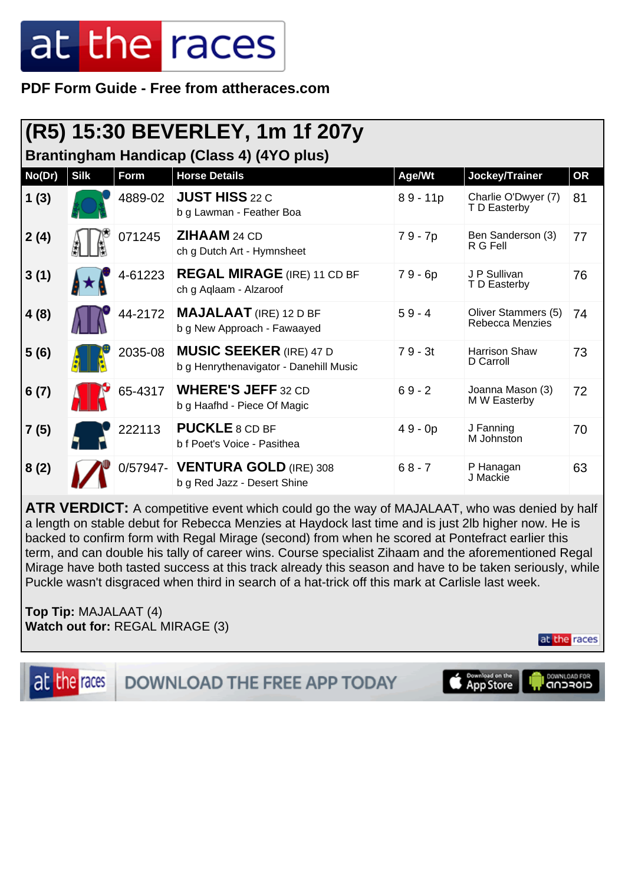**PDF Form Guide - Free from attheraces.com**

|                                                  |             |             | (R5) 15:30 BEVERLEY, 1m 1f 207y                                          |            |                                        |           |  |  |
|--------------------------------------------------|-------------|-------------|--------------------------------------------------------------------------|------------|----------------------------------------|-----------|--|--|
| <b>Brantingham Handicap (Class 4) (4YO plus)</b> |             |             |                                                                          |            |                                        |           |  |  |
| No(Dr)                                           | <b>Silk</b> | <b>Form</b> | <b>Horse Details</b>                                                     | Age/Wt     | Jockey/Trainer                         | <b>OR</b> |  |  |
| 1(3)                                             |             | 4889-02     | <b>JUST HISS 22 C</b><br>b g Lawman - Feather Boa                        | $89 - 11p$ | Charlie O'Dwyer (7)<br>T D Easterby    | 81        |  |  |
| 2(4)                                             |             | 071245      | <b>ZIHAAM</b> 24 CD<br>ch g Dutch Art - Hymnsheet                        | 79 - 7p    | Ben Sanderson (3)<br>R G Fell          | 77        |  |  |
| 3(1)                                             |             | 4-61223     | <b>REGAL MIRAGE</b> (IRE) 11 CD BF<br>ch g Aqlaam - Alzaroof             | $79 - 6p$  | J P Sullivan<br>T D Easterby           | 76        |  |  |
| 4(8)                                             |             | 44-2172     | <b>MAJALAAT</b> (IRE) 12 D BF<br>b g New Approach - Fawaayed             | $59 - 4$   | Oliver Stammers (5)<br>Rebecca Menzies | 74        |  |  |
| 5(6)                                             |             | 2035-08     | <b>MUSIC SEEKER (IRE) 47 D</b><br>b g Henrythenavigator - Danehill Music | $79 - 3t$  | <b>Harrison Shaw</b><br>D Carroll      | 73        |  |  |
| 6(7)                                             |             | 65-4317     | <b>WHERE'S JEFF 32 CD</b><br>b g Haafhd - Piece Of Magic                 | $69 - 2$   | Joanna Mason (3)<br>M W Easterby       | 72        |  |  |
| 7(5)                                             |             | 222113      | <b>PUCKLE 8 CD BF</b><br>b f Poet's Voice - Pasithea                     | $49 - 0p$  | J Fanning<br>M Johnston                | 70        |  |  |
| 8(2)                                             |             |             | 0/57947- VENTURA GOLD (IRE) 308<br>b g Red Jazz - Desert Shine           | $68 - 7$   | P Hanagan<br>J Mackie                  | 63        |  |  |

ATR VERDICT: A competitive event which could go the way of MAJALAAT, who was denied by half a length on stable debut for Rebecca Menzies at Haydock last time and is just 2lb higher now. He is backed to confirm form with Regal Mirage (second) from when he scored at Pontefract earlier this term, and can double his tally of career wins. Course specialist Zihaam and the aforementioned Regal Mirage have both tasted success at this track already this season and have to be taken seriously, while Puckle wasn't disgraced when third in search of a hat-trick off this mark at Carlisle last week.

**Top Tip:** MAJALAAT (4) **Watch out for:** REGAL MIRAGE (3)

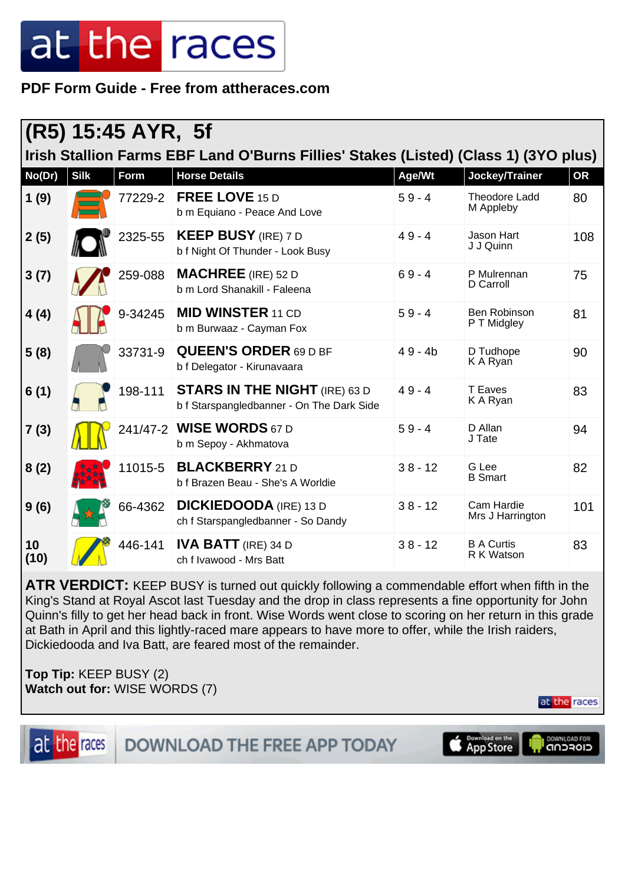**PDF Form Guide - Free from attheraces.com**

|                                                                                     | (R5) 15:45 AYR, 5f |             |                                                                                   |           |                                 |           |  |  |
|-------------------------------------------------------------------------------------|--------------------|-------------|-----------------------------------------------------------------------------------|-----------|---------------------------------|-----------|--|--|
| Irish Stallion Farms EBF Land O'Burns Fillies' Stakes (Listed) (Class 1) (3YO plus) |                    |             |                                                                                   |           |                                 |           |  |  |
| No(Dr)                                                                              | <b>Silk</b>        | <b>Form</b> | <b>Horse Details</b>                                                              | Age/Wt    | Jockey/Trainer                  | <b>OR</b> |  |  |
| 1(9)                                                                                |                    | 77229-2     | FREE LOVE 15 D<br>b m Equiano - Peace And Love                                    | $59 - 4$  | Theodore Ladd<br>M Appleby      | 80        |  |  |
| 2(5)                                                                                |                    | 2325-55     | <b>KEEP BUSY (IRE) 7 D</b><br>b f Night Of Thunder - Look Busy                    | $49 - 4$  | Jason Hart<br>J J Quinn         | 108       |  |  |
| 3(7)                                                                                |                    | 259-088     | <b>MACHREE</b> (IRE) 52 D<br>b m Lord Shanakill - Faleena                         | $69 - 4$  | P Mulrennan<br>D Carroll        | 75        |  |  |
| 4(4)                                                                                |                    | 9-34245     | <b>MID WINSTER 11 CD</b><br>b m Burwaaz - Cayman Fox                              | $59 - 4$  | Ben Robinson<br>P T Midgley     | 81        |  |  |
| 5(8)                                                                                |                    | 33731-9     | <b>QUEEN'S ORDER 69 D BF</b><br>b f Delegator - Kirunavaara                       | $49 - 4b$ | D Tudhope<br>K A Ryan           | 90        |  |  |
| 6(1)                                                                                |                    | 198-111     | <b>STARS IN THE NIGHT</b> (IRE) 63 D<br>b f Starspangledbanner - On The Dark Side | $49 - 4$  | T Eaves<br>K A Ryan             | 83        |  |  |
| 7(3)                                                                                |                    | 241/47-2    | <b>WISE WORDS 67 D</b><br>b m Sepoy - Akhmatova                                   | $59 - 4$  | D Allan<br>J Tate               | 94        |  |  |
| 8(2)                                                                                |                    | 11015-5     | <b>BLACKBERRY</b> 21 D<br>b f Brazen Beau - She's A Worldie                       | $38 - 12$ | G Lee<br><b>B</b> Smart         | 82        |  |  |
| 9(6)                                                                                |                    | 66-4362     | <b>DICKIEDOODA</b> (IRE) 13 D<br>ch f Starspangledbanner - So Dandy               | $38 - 12$ | Cam Hardie<br>Mrs J Harrington  | 101       |  |  |
| 10<br>(10)                                                                          |                    | 446-141     | <b>IVA BATT</b> (IRE) 34 D<br>ch f Ivawood - Mrs Batt                             | $38 - 12$ | <b>B A Curtis</b><br>R K Watson | 83        |  |  |

**ATR VERDICT:** KEEP BUSY is turned out quickly following a commendable effort when fifth in the King's Stand at Royal Ascot last Tuesday and the drop in class represents a fine opportunity for John Quinn's filly to get her head back in front. Wise Words went close to scoring on her return in this grade at Bath in April and this lightly-raced mare appears to have more to offer, while the Irish raiders, Dickiedooda and Iva Batt, are feared most of the remainder.

**Top Tip:** KEEP BUSY (2) **Watch out for:** WISE WORDS (7)

at the races

at the races

DOWNLOAD THE FREE APP TODAY

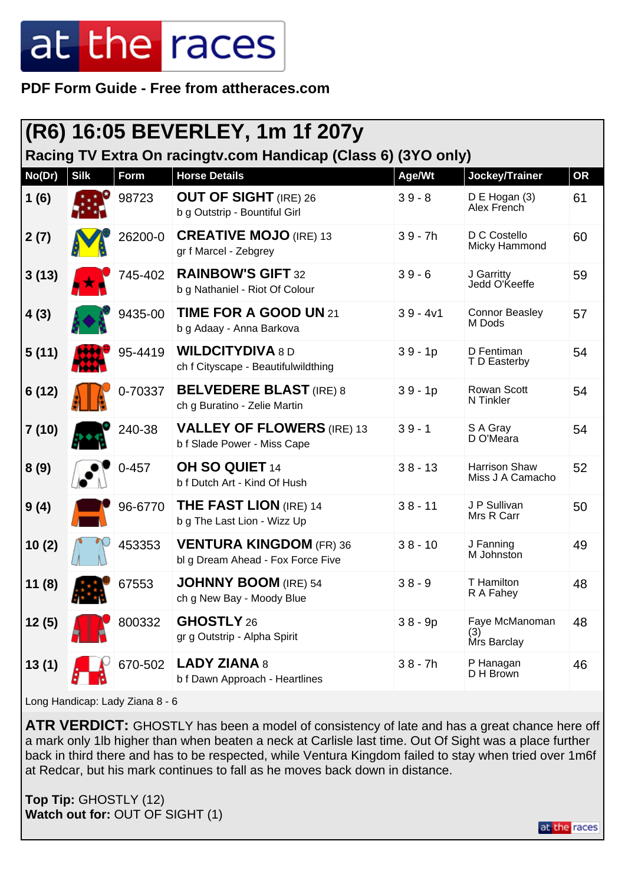**PDF Form Guide - Free from attheraces.com**

|        |             |           | (R6) 16:05 BEVERLEY, 1m 1f 207y                                     |            |                                          |           |
|--------|-------------|-----------|---------------------------------------------------------------------|------------|------------------------------------------|-----------|
|        |             |           | Racing TV Extra On racingtv.com Handicap (Class 6) (3YO only)       |            |                                          |           |
| No(Dr) | <b>Silk</b> | Form      | <b>Horse Details</b>                                                | Age/Wt     | Jockey/Trainer                           | <b>OR</b> |
| 1(6)   |             | 98723     | <b>OUT OF SIGHT (IRE) 26</b><br>b g Outstrip - Bountiful Girl       | $39 - 8$   | D E Hogan (3)<br>Alex French             | 61        |
| 2(7)   |             | 26200-0   | <b>CREATIVE MOJO (IRE) 13</b><br>gr f Marcel - Zebgrey              | $39 - 7h$  | D C Costello<br>Micky Hammond            | 60        |
| 3(13)  |             | 745-402   | <b>RAINBOW'S GIFT 32</b><br>b g Nathaniel - Riot Of Colour          | $39 - 6$   | J Garritty<br>Jedd O'Keeffe              | 59        |
| 4(3)   |             | 9435-00   | TIME FOR A GOOD UN 21<br>b g Adaay - Anna Barkova                   | $39 - 4v1$ | <b>Connor Beasley</b><br>M Dods          | 57        |
| 5(11)  |             | 95-4419   | <b>WILDCITYDIVA 8 D</b><br>ch f Cityscape - Beautifulwildthing      | $39 - 1p$  | D Fentiman<br>T D Easterby               | 54        |
| 6(12)  |             | 0-70337   | <b>BELVEDERE BLAST (IRE) 8</b><br>ch g Buratino - Zelie Martin      | $39 - 1p$  | <b>Rowan Scott</b><br>N Tinkler          | 54        |
| 7(10)  |             | 240-38    | <b>VALLEY OF FLOWERS (IRE) 13</b><br>b f Slade Power - Miss Cape    | $39 - 1$   | S A Gray<br>D O'Meara                    | 54        |
| 8(9)   |             | $0 - 457$ | OH SO QUIET 14<br>b f Dutch Art - Kind Of Hush                      | $38 - 13$  | <b>Harrison Shaw</b><br>Miss J A Camacho | 52        |
| 9(4)   |             | 96-6770   | <b>THE FAST LION</b> (IRE) 14<br>b g The Last Lion - Wizz Up        | $38 - 11$  | J P Sullivan<br>Mrs R Carr               | 50        |
| 10(2)  |             | 453353    | <b>VENTURA KINGDOM (FR) 36</b><br>bl g Dream Ahead - Fox Force Five | $38 - 10$  | J Fanning<br>M Johnston                  | 49        |
| 11 (8) |             | 67553     | JOHNNY BOOM (IRE) 54<br>ch g New Bay - Moody Blue                   | $38 - 9$   | T Hamilton<br>R A Fahey                  | 48        |
| 12(5)  |             | 800332    | GHOSTLY 26<br>gr g Outstrip - Alpha Spirit                          | $38 - 9p$  | Faye McManoman<br>(3)<br>Mrs Barclay     | 48        |
| 13(1)  |             | 670-502   | <b>LADY ZIANA 8</b><br>b f Dawn Approach - Heartlines               | $38 - 7h$  | P Hanagan<br>D H Brown                   | 46        |

Long Handicap: Lady Ziana 8 - 6

ATR VERDICT: GHOSTLY has been a model of consistency of late and has a great chance here off a mark only 1lb higher than when beaten a neck at Carlisle last time. Out Of Sight was a place further back in third there and has to be respected, while Ventura Kingdom failed to stay when tried over 1m6f at Redcar, but his mark continues to fall as he moves back down in distance.

**Top Tip:** GHOSTLY (12) **Watch out for:** OUT OF SIGHT (1)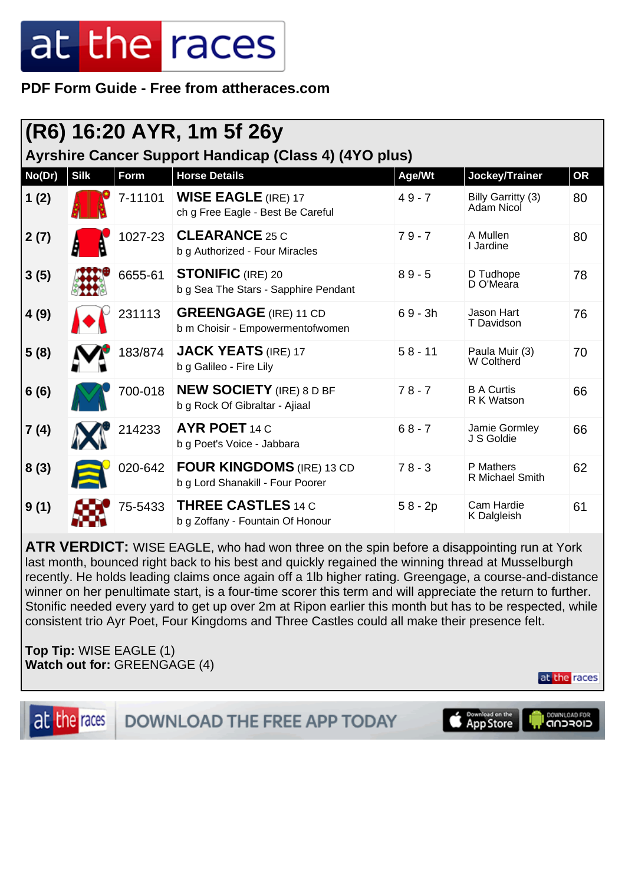**PDF Form Guide - Free from attheraces.com**

| (R6) 16:20 AYR, 1m 5f 26y<br>Ayrshire Cancer Support Handicap (Class 4) (4YO plus) |             |         |                                                                      |           |                                  |           |  |
|------------------------------------------------------------------------------------|-------------|---------|----------------------------------------------------------------------|-----------|----------------------------------|-----------|--|
| No(Dr)                                                                             | <b>Silk</b> | Form    | <b>Horse Details</b>                                                 | Age/Wt    | Jockey/Trainer                   | <b>OR</b> |  |
| 1(2)                                                                               |             | 7-11101 | <b>WISE EAGLE (IRE) 17</b><br>ch g Free Eagle - Best Be Careful      | $49 - 7$  | Billy Garritty (3)<br>Adam Nicol | 80        |  |
| 2(7)                                                                               |             | 1027-23 | <b>CLEARANCE 25 C</b><br>b g Authorized - Four Miracles              | $79 - 7$  | A Mullen<br><b>L</b> Jardine     | 80        |  |
| 3(5)                                                                               |             | 6655-61 | <b>STONIFIC</b> (IRE) 20<br>b g Sea The Stars - Sapphire Pendant     | $89 - 5$  | D Tudhope<br>D O'Meara           | 78        |  |
| 4(9)                                                                               |             | 231113  | <b>GREENGAGE</b> (IRE) 11 CD<br>b m Choisir - Empowermentofwomen     | $69 - 3h$ | Jason Hart<br>T Davidson         | 76        |  |
| 5(8)                                                                               |             | 183/874 | <b>JACK YEATS (IRE) 17</b><br>b g Galileo - Fire Lily                | $58 - 11$ | Paula Muir (3)<br>W Coltherd     | 70        |  |
| 6(6)                                                                               |             | 700-018 | <b>NEW SOCIETY</b> (IRE) 8 D BF<br>b g Rock Of Gibraltar - Ajiaal    | $78 - 7$  | <b>B A Curtis</b><br>R K Watson  | 66        |  |
| 7(4)                                                                               |             | 214233  | <b>AYR POET 14 C</b><br>b g Poet's Voice - Jabbara                   | $68 - 7$  | Jamie Gormley<br>J S Goldie      | 66        |  |
| 8(3)                                                                               |             | 020-642 | <b>FOUR KINGDOMS</b> (IRE) 13 CD<br>b g Lord Shanakill - Four Poorer | $78 - 3$  | P Mathers<br>R Michael Smith     | 62        |  |
| 9(1)                                                                               |             | 75-5433 | <b>THREE CASTLES 14 C</b><br>b g Zoffany - Fountain Of Honour        | $58 - 2p$ | Cam Hardie<br>K Dalgleish        | 61        |  |

**ATR VERDICT:** WISE EAGLE, who had won three on the spin before a disappointing run at York last month, bounced right back to his best and quickly regained the winning thread at Musselburgh recently. He holds leading claims once again off a 1lb higher rating. Greengage, a course-and-distance winner on her penultimate start, is a four-time scorer this term and will appreciate the return to further. Stonific needed every yard to get up over 2m at Ripon earlier this month but has to be respected, while consistent trio Ayr Poet, Four Kingdoms and Three Castles could all make their presence felt.

**Top Tip:** WISE EAGLE (1) **Watch out for:** GREENGAGE (4)

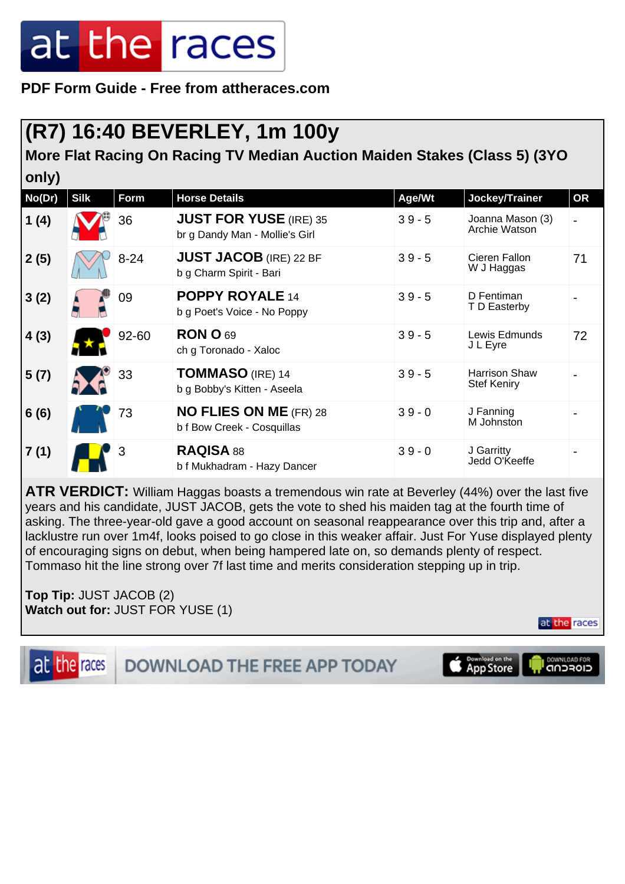**PDF Form Guide - Free from attheraces.com**

### **(R7) 16:40 BEVERLEY, 1m 100y**

**More Flat Racing On Racing TV Median Auction Maiden Stakes (Class 5) (3YO only)**

| No(Dr) | <b>Silk</b> | Form     | <b>Horse Details</b>                                            | Age/Wt   | Jockey/Trainer                             | <b>OR</b>      |
|--------|-------------|----------|-----------------------------------------------------------------|----------|--------------------------------------------|----------------|
| 1(4)   |             | 36       | <b>JUST FOR YUSE (IRE) 35</b><br>br g Dandy Man - Mollie's Girl | $39 - 5$ | Joanna Mason (3)<br>Archie Watson          | $\blacksquare$ |
| 2(5)   |             | $8 - 24$ | <b>JUST JACOB</b> (IRE) 22 BF<br>b g Charm Spirit - Bari        | $39 - 5$ | Cieren Fallon<br>W J Haggas                | 71             |
| 3(2)   |             | 09       | POPPY ROYALE 14<br>b g Poet's Voice - No Poppy                  | $39 - 5$ | D Fentiman<br>T D Easterby                 |                |
| 4(3)   |             | 92-60    | <b>RON O 69</b><br>ch g Toronado - Xaloc                        | $39 - 5$ | Lewis Edmunds<br>J L Eyre                  | 72             |
| 5(7)   |             | 33       | <b>TOMMASO</b> (IRE) 14<br>b g Bobby's Kitten - Aseela          | $39 - 5$ | <b>Harrison Shaw</b><br><b>Stef Keniry</b> |                |
| 6(6)   |             | 73       | <b>NO FLIES ON ME (FR) 28</b><br>b f Bow Creek - Cosquillas     | $39 - 0$ | J Fanning<br>M Johnston                    |                |
| 7(1)   |             | 3        | RAQISA 88<br>b f Mukhadram - Hazy Dancer                        | $39 - 0$ | J Garritty<br>Jedd O'Keeffe                |                |

**ATR VERDICT:** William Haggas boasts a tremendous win rate at Beverley (44%) over the last five years and his candidate, JUST JACOB, gets the vote to shed his maiden tag at the fourth time of asking. The three-year-old gave a good account on seasonal reappearance over this trip and, after a lacklustre run over 1m4f, looks poised to go close in this weaker affair. Just For Yuse displayed plenty of encouraging signs on debut, when being hampered late on, so demands plenty of respect. Tommaso hit the line strong over 7f last time and merits consideration stepping up in trip.

**Top Tip:** JUST JACOB (2) **Watch out for:** JUST FOR YUSE (1)

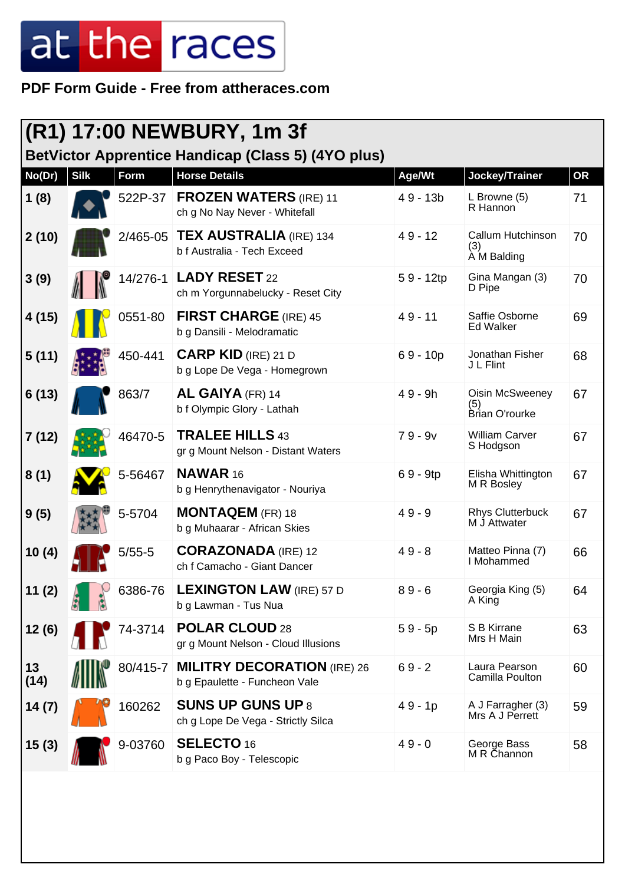#### **PDF Form Guide - Free from attheraces.com**

|            | (R1) 17:00 NEWBURY, 1m 3f<br><b>BetVictor Apprentice Handicap (Class 5) (4YO plus)</b> |             |                                                                     |             |                                                 |           |  |
|------------|----------------------------------------------------------------------------------------|-------------|---------------------------------------------------------------------|-------------|-------------------------------------------------|-----------|--|
| No(Dr)     | <b>Silk</b>                                                                            | <b>Form</b> | <b>Horse Details</b>                                                | Age/Wt      | Jockey/Trainer                                  | <b>OR</b> |  |
| 1(8)       |                                                                                        | 522P-37     | <b>FROZEN WATERS (IRE) 11</b><br>ch g No Nay Never - Whitefall      | $49 - 13b$  | L Browne (5)<br>R Hannon                        | 71        |  |
| 2(10)      |                                                                                        | 2/465-05    | <b>TEX AUSTRALIA (IRE) 134</b><br>b f Australia - Tech Exceed       | $49 - 12$   | Callum Hutchinson<br>(3)<br>A M Balding         | 70        |  |
| 3(9)       |                                                                                        |             | 14/276-1   LADY RESET 22<br>ch m Yorgunnabelucky - Reset City       | $59 - 12tp$ | Gina Mangan (3)<br>D Pipe                       | 70        |  |
| 4 (15)     |                                                                                        | 0551-80     | <b>FIRST CHARGE</b> (IRE) 45<br>b g Dansili - Melodramatic          | $49 - 11$   | Saffie Osborne<br><b>Ed Walker</b>              | 69        |  |
| 5(11)      |                                                                                        | 450-441     | <b>CARP KID</b> (IRE) 21 D<br>b g Lope De Vega - Homegrown          | $69 - 10p$  | Jonathan Fisher<br>J L Flint                    | 68        |  |
| 6(13)      |                                                                                        | 863/7       | AL GAIYA (FR) 14<br>b f Olympic Glory - Lathah                      | $49 - 9h$   | <b>Oisin McSweeney</b><br>(5)<br>Brian O'rourke | 67        |  |
| 7(12)      |                                                                                        | 46470-5     | <b>TRALEE HILLS 43</b><br>gr g Mount Nelson - Distant Waters        | $79 - 9v$   | <b>William Carver</b><br>S Hodgson              | 67        |  |
| 8(1)       |                                                                                        | 5-56467     | <b>NAWAR 16</b><br>b g Henrythenavigator - Nouriya                  | $69 - 9tp$  | Elisha Whittington<br>M R Bosley                | 67        |  |
| 9(5)       |                                                                                        | 5-5704      | <b>MONTAQEM</b> (FR) 18<br>b g Muhaarar - African Skies             | $49 - 9$    | <b>Rhys Clutterbuck</b><br>M J Attwater         | 67        |  |
| 10(4)      |                                                                                        | $5/55-5$    | <b>CORAZONADA</b> (IRE) 12<br>ch f Camacho - Giant Dancer           | $49 - 8$    | Matteo Pinna (7)<br>I Mohammed                  | 66        |  |
| 11(2)      |                                                                                        | 6386-76     | <b>LEXINGTON LAW (IRE) 57 D</b><br>b g Lawman - Tus Nua             | $89 - 6$    | Georgia King (5)<br>A King                      | 64        |  |
| 12(6)      |                                                                                        | 74-3714     | <b>POLAR CLOUD 28</b><br>gr g Mount Nelson - Cloud Illusions        | $59 - 5p$   | S B Kirrane<br>Mrs H Main                       | 63        |  |
| 13<br>(14) |                                                                                        | 80/415-7    | <b>MILITRY DECORATION (IRE) 26</b><br>b g Epaulette - Funcheon Vale | $69 - 2$    | Laura Pearson<br>Camilla Poulton                | 60        |  |
| 14(7)      |                                                                                        | 160262      | <b>SUNS UP GUNS UP 8</b><br>ch g Lope De Vega - Strictly Silca      | $49 - 1p$   | A J Farragher (3)<br>Mrs A J Perrett            | 59        |  |
| 15(3)      |                                                                                        | 9-03760     | <b>SELECTO 16</b><br>b g Paco Boy - Telescopic                      | $49 - 0$    | George Bass<br>M R Channon                      | 58        |  |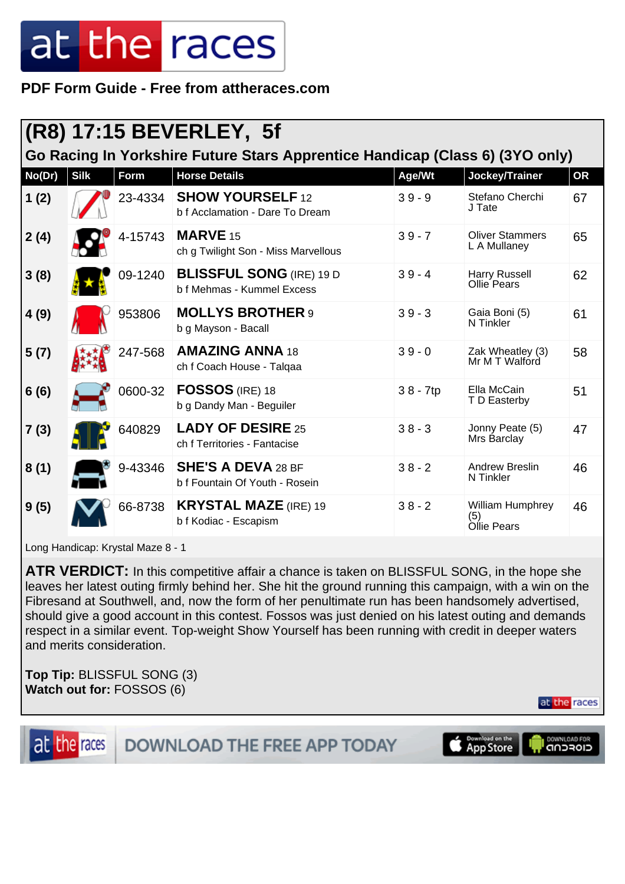**PDF Form Guide - Free from attheraces.com**

| (R8) 17:15 BEVERLEY, 5f                                                      |             |         |                                                               |            |                                        |           |  |  |
|------------------------------------------------------------------------------|-------------|---------|---------------------------------------------------------------|------------|----------------------------------------|-----------|--|--|
| Go Racing In Yorkshire Future Stars Apprentice Handicap (Class 6) (3YO only) |             |         |                                                               |            |                                        |           |  |  |
| No(Dr)                                                                       | <b>Silk</b> | Form    | <b>Horse Details</b>                                          | Age/Wt     | Jockey/Trainer                         | <b>OR</b> |  |  |
| 1(2)                                                                         |             | 23-4334 | <b>SHOW YOURSELF 12</b><br>b f Acclamation - Dare To Dream    | $39 - 9$   | Stefano Cherchi<br>J Tate              | 67        |  |  |
| 2(4)                                                                         |             | 4-15743 | <b>MARVE 15</b><br>ch g Twilight Son - Miss Marvellous        | $39 - 7$   | <b>Oliver Stammers</b><br>L A Mullaney | 65        |  |  |
| 3(8)                                                                         |             | 09-1240 | <b>BLISSFUL SONG (IRE) 19 D</b><br>b f Mehmas - Kummel Excess | $39 - 4$   | Harry Russell<br>Ollie Pears           | 62        |  |  |
| 4(9)                                                                         |             | 953806  | <b>MOLLYS BROTHER 9</b><br>b g Mayson - Bacall                | $39 - 3$   | Gaia Boni (5)<br>N Tinkler             | 61        |  |  |
| 5(7)                                                                         |             | 247-568 | <b>AMAZING ANNA 18</b><br>ch f Coach House - Talqaa           | $39 - 0$   | Zak Wheatley (3)<br>Mr M T Walford     | 58        |  |  |
| 6(6)                                                                         |             | 0600-32 | <b>FOSSOS</b> (IRE) 18<br>b g Dandy Man - Beguiler            | $38 - 7tp$ | Ella McCain<br>T D Easterby            | 51        |  |  |
| 7(3)                                                                         |             | 640829  | <b>LADY OF DESIRE 25</b><br>ch f Territories - Fantacise      | $38 - 3$   | Jonny Peate (5)<br>Mrs Barclay         | 47        |  |  |
| 8(1)                                                                         |             | 9-43346 | <b>SHE'S A DEVA 28 BF</b><br>b f Fountain Of Youth - Rosein   | $38 - 2$   | <b>Andrew Breslin</b><br>N Tinkler     | 46        |  |  |
| 9(5)                                                                         |             | 66-8738 | <b>KRYSTAL MAZE (IRE) 19</b><br>b f Kodiac - Escapism         | $38 - 2$   | William Humphrey<br>(5)<br>Ollie Pears | 46        |  |  |

Long Handicap: Krystal Maze 8 - 1

**ATR VERDICT:** In this competitive affair a chance is taken on BLISSFUL SONG, in the hope she leaves her latest outing firmly behind her. She hit the ground running this campaign, with a win on the Fibresand at Southwell, and, now the form of her penultimate run has been handsomely advertised, should give a good account in this contest. Fossos was just denied on his latest outing and demands respect in a similar event. Top-weight Show Yourself has been running with credit in deeper waters and merits consideration.

**Top Tip:** BLISSFUL SONG (3) **Watch out for:** FOSSOS (6)

at the races



DOWNLOAD THE FREE APP TODAY

Download on the<br>App Store DOWNLOAD FOR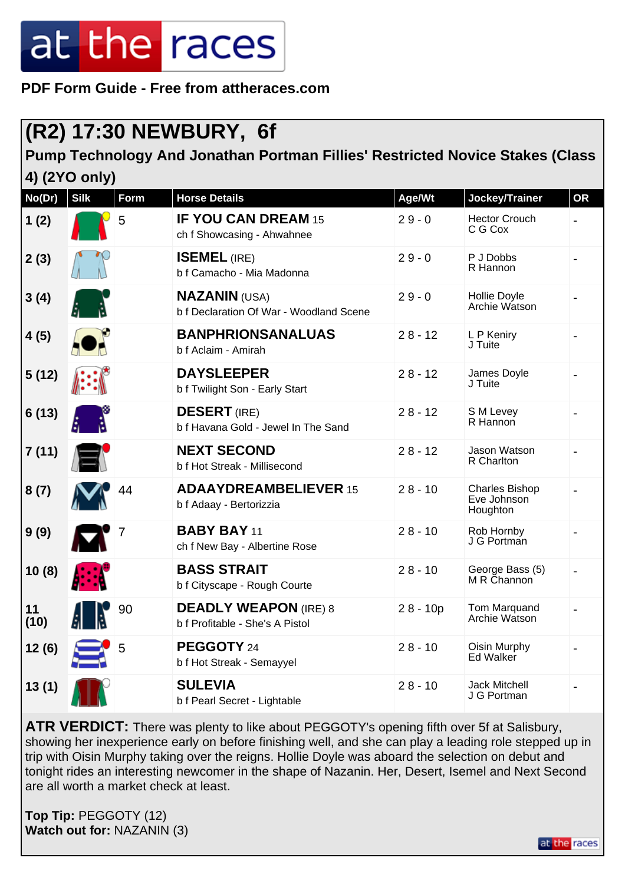**PDF Form Guide - Free from attheraces.com**

### **(R2) 17:30 NEWBURY, 6f**

#### **Pump Technology And Jonathan Portman Fillies' Restricted Novice Stakes (Class 4) (2YO only)**

| No(Dr)     | <b>Silk</b> | <b>Form</b> | <b>Horse Details</b>                                            | Age/Wt     | Jockey/Trainer                                   | <b>OR</b>      |
|------------|-------------|-------------|-----------------------------------------------------------------|------------|--------------------------------------------------|----------------|
| 1(2)       |             | 5           | <b>IF YOU CAN DREAM 15</b><br>ch f Showcasing - Ahwahnee        | $29 - 0$   | <b>Hector Crouch</b><br>C G Cox                  |                |
| 2(3)       |             |             | <b>ISEMEL (IRE)</b><br>b f Camacho - Mia Madonna                | $29 - 0$   | P J Dobbs<br>R Hannon                            |                |
| 3(4)       |             |             | <b>NAZANIN (USA)</b><br>b f Declaration Of War - Woodland Scene | $29 - 0$   | Hollie Doyle<br>Archie Watson                    |                |
| 4(5)       |             |             | <b>BANPHRIONSANALUAS</b><br>b f Aclaim - Amirah                 | $28 - 12$  | L P Keniry<br>J Tuite                            |                |
| 5(12)      |             |             | <b>DAYSLEEPER</b><br>b f Twilight Son - Early Start             | $28 - 12$  | James Doyle<br>J Tuite                           |                |
| 6(13)      |             |             | <b>DESERT</b> (IRE)<br>b f Havana Gold - Jewel In The Sand      | $28 - 12$  | S M Levey<br>R Hannon                            | $\blacksquare$ |
| 7(11)      |             |             | <b>NEXT SECOND</b><br>b f Hot Streak - Millisecond              | $28 - 12$  | Jason Watson<br>R Charlton                       |                |
| 8(7)       |             | 44          | <b>ADAAYDREAMBELIEVER 15</b><br>b f Adaay - Bertorizzia         | $28 - 10$  | <b>Charles Bishop</b><br>Eve Johnson<br>Houghton |                |
| 9(9)       |             |             | <b>BABY BAY 11</b><br>ch f New Bay - Albertine Rose             | $28 - 10$  | Rob Hornby<br>J G Portman                        |                |
| 10(8)      |             |             | <b>BASS STRAIT</b><br>b f Cityscape - Rough Courte              | $28 - 10$  | George Bass (5)<br>M R Channon                   |                |
| 11<br>(10) |             | 90          | <b>DEADLY WEAPON (IRE) 8</b><br>b f Profitable - She's A Pistol | $28 - 10p$ | Tom Marquand<br>Archie Watson                    |                |
| 12(6)      |             | 5           | PEGGOTY 24<br>b f Hot Streak - Semayyel                         | $28 - 10$  | Oisin Murphy<br>Ed Walker                        |                |
| 13(1)      |             |             | <b>SULEVIA</b><br>b f Pearl Secret - Lightable                  | $28 - 10$  | <b>Jack Mitchell</b><br>J G Portman              |                |

**ATR VERDICT:** There was plenty to like about PEGGOTY's opening fifth over 5f at Salisbury, showing her inexperience early on before finishing well, and she can play a leading role stepped up in trip with Oisin Murphy taking over the reigns. Hollie Doyle was aboard the selection on debut and tonight rides an interesting newcomer in the shape of Nazanin. Her, Desert, Isemel and Next Second are all worth a market check at least.

**Top Tip:** PEGGOTY (12) **Watch out for:** NAZANIN (3)

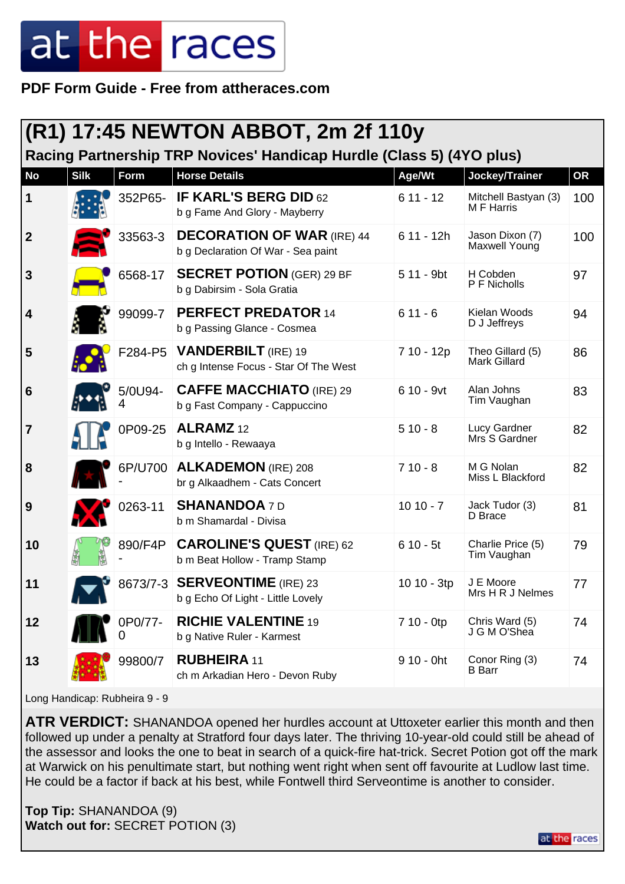**PDF Form Guide - Free from attheraces.com**

|                  | (R1) 17:45 NEWTON ABBOT, 2m 2f 110y                                  |         |                                                                         |              |                                         |           |  |  |  |
|------------------|----------------------------------------------------------------------|---------|-------------------------------------------------------------------------|--------------|-----------------------------------------|-----------|--|--|--|
|                  | Racing Partnership TRP Novices' Handicap Hurdle (Class 5) (4YO plus) |         |                                                                         |              |                                         |           |  |  |  |
| <b>No</b>        | <b>Silk</b>                                                          | Form    | <b>Horse Details</b>                                                    | Age/Wt       | Jockey/Trainer                          | <b>OR</b> |  |  |  |
| $\mathbf 1$      |                                                                      | 352P65- | <b>IF KARL'S BERG DID 62</b><br>b g Fame And Glory - Mayberry           | $611 - 12$   | Mitchell Bastyan (3)<br>M F Harris      | 100       |  |  |  |
| $\boldsymbol{2}$ |                                                                      | 33563-3 | <b>DECORATION OF WAR (IRE) 44</b><br>b g Declaration Of War - Sea paint | $611 - 12h$  | Jason Dixon (7)<br>Maxwell Young        | 100       |  |  |  |
| $\mathbf{3}$     |                                                                      | 6568-17 | <b>SECRET POTION</b> (GER) 29 BF<br>b g Dabirsim - Sola Gratia          | 5 11 - 9bt   | H Cobden<br>P F Nicholls                | 97        |  |  |  |
| 4                |                                                                      | 99099-7 | <b>PERFECT PREDATOR 14</b><br>b g Passing Glance - Cosmea               | $611 - 6$    | Kielan Woods<br>D J Jeffreys            | 94        |  |  |  |
| 5                |                                                                      | F284-P5 | <b>VANDERBILT</b> (IRE) 19<br>ch g Intense Focus - Star Of The West     | 7 10 - 12p   | Theo Gillard (5)<br><b>Mark Gillard</b> | 86        |  |  |  |
| 6                |                                                                      | 5/0U94- | <b>CAFFE MACCHIATO (IRE) 29</b><br>b g Fast Company - Cappuccino        | $610 - 9$ vt | Alan Johns<br>Tim Vaughan               | 83        |  |  |  |
| $\overline{7}$   |                                                                      | 0P09-25 | ALRAMZ <sub>12</sub><br>b g Intello - Rewaaya                           | $510 - 8$    | Lucy Gardner<br>Mrs S Gardner           | 82        |  |  |  |
| 8                |                                                                      | 6P/U700 | <b>ALKADEMON</b> (IRE) 208<br>br g Alkaadhem - Cats Concert             | $710 - 8$    | M G Nolan<br>Miss L Blackford           | 82        |  |  |  |
| 9                |                                                                      | 0263-11 | <b>SHANANDOA 7D</b><br>b m Shamardal - Divisa                           | $1010 - 7$   | Jack Tudor (3)<br>D Brace               | 81        |  |  |  |
| 10               |                                                                      | 890/F4P | <b>CAROLINE'S QUEST (IRE) 62</b><br>b m Beat Hollow - Tramp Stamp       | $610 - 5t$   | Charlie Price (5)<br>Tim Vaughan        | 79        |  |  |  |
| 11               |                                                                      |         | 8673/7-3 SERVEONTIME (IRE) 23<br>b g Echo Of Light - Little Lovely      | 10 10 - 3tp  | J E Moore<br>Mrs H R J Nelmes           | 77        |  |  |  |
| 12               |                                                                      | 0P0/77- | <b>RICHIE VALENTINE 19</b><br>b g Native Ruler - Karmest                | 7 10 - 0tp   | Chris Ward (5)<br>J G M O'Shea          | 74        |  |  |  |
| 13               |                                                                      | 99800/7 | <b>RUBHEIRA 11</b><br>ch m Arkadian Hero - Devon Ruby                   | $910 - 0$ ht | Conor Ring (3)<br><b>B</b> Barr         | 74        |  |  |  |

Long Handicap: Rubheira 9 - 9

**ATR VERDICT:** SHANANDOA opened her hurdles account at Uttoxeter earlier this month and then followed up under a penalty at Stratford four days later. The thriving 10-year-old could still be ahead of the assessor and looks the one to beat in search of a quick-fire hat-trick. Secret Potion got off the mark at Warwick on his penultimate start, but nothing went right when sent off favourite at Ludlow last time. He could be a factor if back at his best, while Fontwell third Serveontime is another to consider.

**Top Tip:** SHANANDOA (9) **Watch out for:** SECRET POTION (3)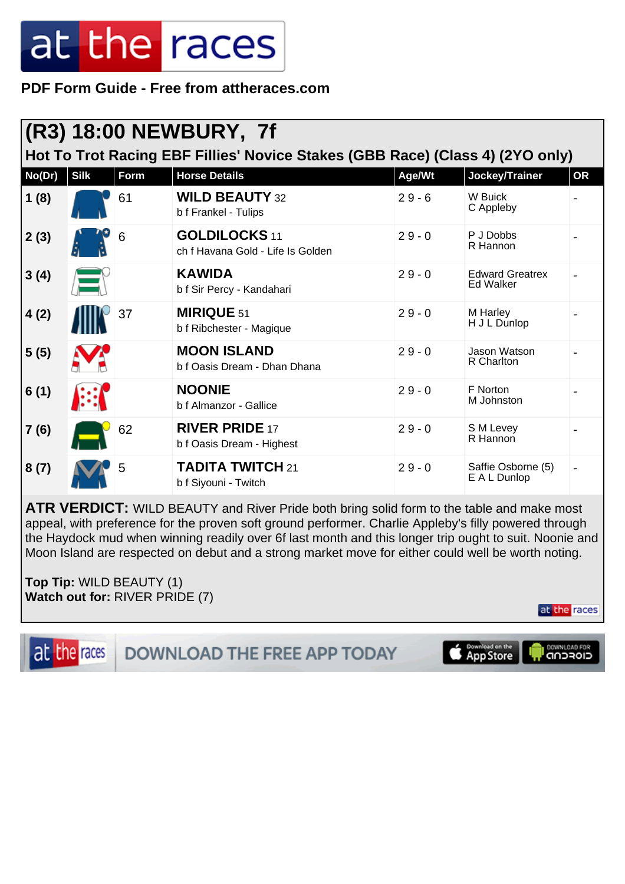**PDF Form Guide - Free from attheraces.com**

|                                                                               | (R3) 18:00 NEWBURY, 7f |      |                                                           |          |                                            |           |  |  |  |
|-------------------------------------------------------------------------------|------------------------|------|-----------------------------------------------------------|----------|--------------------------------------------|-----------|--|--|--|
| Hot To Trot Racing EBF Fillies' Novice Stakes (GBB Race) (Class 4) (2YO only) |                        |      |                                                           |          |                                            |           |  |  |  |
| No(Dr)                                                                        | <b>Silk</b>            | Form | <b>Horse Details</b>                                      | Age/Wt   | Jockey/Trainer                             | <b>OR</b> |  |  |  |
| 1(8)                                                                          |                        | 61   | <b>WILD BEAUTY 32</b><br>b f Frankel - Tulips             | $29 - 6$ | W Buick<br>C Appleby                       |           |  |  |  |
| 2(3)                                                                          |                        | 6    | <b>GOLDILOCKS 11</b><br>ch f Havana Gold - Life Is Golden | $29 - 0$ | P J Dobbs<br>R Hannon                      |           |  |  |  |
| 3(4)                                                                          |                        |      | <b>KAWIDA</b><br>b f Sir Percy - Kandahari                | $29 - 0$ | <b>Edward Greatrex</b><br><b>Ed Walker</b> |           |  |  |  |
| 4(2)                                                                          |                        | 37   | <b>MIRIQUE 51</b><br>b f Ribchester - Magique             | $29 - 0$ | M Harley<br>H J L Dunlop                   |           |  |  |  |
| 5(5)                                                                          |                        |      | <b>MOON ISLAND</b><br>b f Oasis Dream - Dhan Dhana        | $29 - 0$ | Jason Watson<br>R Charlton                 |           |  |  |  |
| 6(1)                                                                          |                        |      | <b>NOONIE</b><br>b f Almanzor - Gallice                   | $29 - 0$ | F Norton<br>M Johnston                     |           |  |  |  |
| 7(6)                                                                          |                        | 62   | <b>RIVER PRIDE 17</b><br>b f Oasis Dream - Highest        | $29 - 0$ | S M Levey<br>R Hannon                      |           |  |  |  |
| 8(7)                                                                          |                        | 5    | <b>TADITA TWITCH 21</b><br>b f Siyouni - Twitch           | $29 - 0$ | Saffie Osborne (5)<br>E A L Dunlop         |           |  |  |  |

**ATR VERDICT:** WILD BEAUTY and River Pride both bring solid form to the table and make most appeal, with preference for the proven soft ground performer. Charlie Appleby's filly powered through the Haydock mud when winning readily over 6f last month and this longer trip ought to suit. Noonie and Moon Island are respected on debut and a strong market move for either could well be worth noting.

**Top Tip:** WILD BEAUTY (1) **Watch out for:** RIVER PRIDE (7)

at the races





DOWNLOAD FOR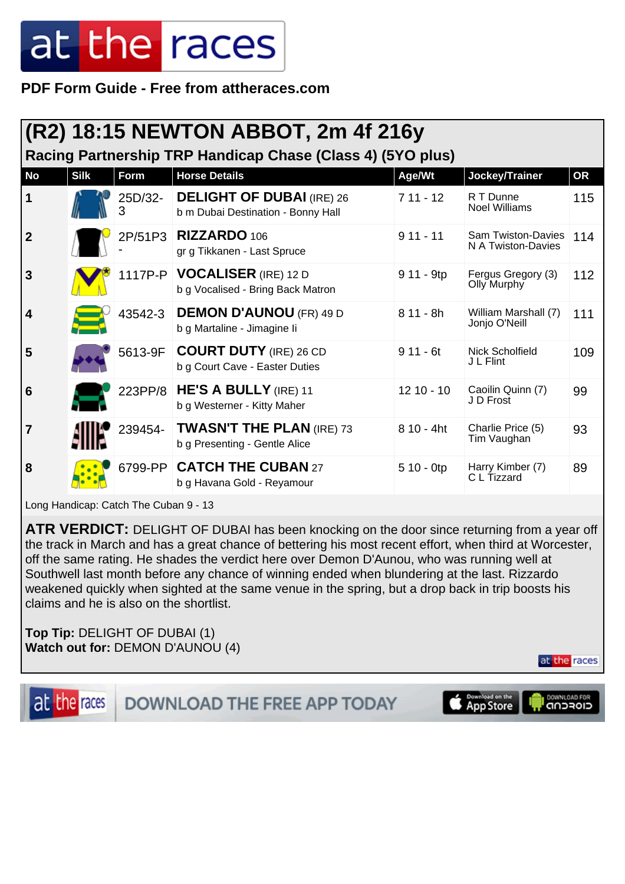**PDF Form Guide - Free from attheraces.com**

| $(R2)$ 18:15 NEWTON ABBOT, 2m 4f 216y                      |             |              |                                                                            |              |                                                 |           |  |  |  |  |  |  |
|------------------------------------------------------------|-------------|--------------|----------------------------------------------------------------------------|--------------|-------------------------------------------------|-----------|--|--|--|--|--|--|
| Racing Partnership TRP Handicap Chase (Class 4) (5YO plus) |             |              |                                                                            |              |                                                 |           |  |  |  |  |  |  |
| <b>No</b>                                                  | <b>Silk</b> | Form         | <b>Horse Details</b>                                                       | Age/Wt       | Jockey/Trainer                                  | <b>OR</b> |  |  |  |  |  |  |
| 1                                                          |             | 25D/32-<br>3 | <b>DELIGHT OF DUBAI (IRE) 26</b><br>b m Dubai Destination - Bonny Hall     | $711 - 12$   | R T Dunne<br><b>Noel Williams</b>               | 115       |  |  |  |  |  |  |
| $\mathbf{2}$                                               |             |              | 2P/51P3   RIZZARDO 106<br>gr g Tikkanen - Last Spruce                      | $911 - 11$   | <b>Sam Twiston-Davies</b><br>N A Twiston-Davies | 114       |  |  |  |  |  |  |
| 3                                                          |             |              | 1117P-P   <b>VOCALISER</b> (IRE) 12 D<br>b g Vocalised - Bring Back Matron | 9 11 - 9tp   | Fergus Gregory (3)<br><b>Olly Murphy</b>        | 112       |  |  |  |  |  |  |
| 4                                                          |             | 43542-3      | <b>DEMON D'AUNOU (FR) 49 D</b><br>b g Martaline - Jimagine li              | $811 - 8h$   | William Marshall (7)<br>Jonjo O'Neill           | 111       |  |  |  |  |  |  |
| 5                                                          |             |              | 5613-9F COURT DUTY (IRE) 26 CD<br>b g Court Cave - Easter Duties           | $911 - 6t$   | Nick Scholfield<br>J L Flint                    | 109       |  |  |  |  |  |  |
| 6                                                          |             | 223PP/8      | <b>HE'S A BULLY</b> (IRE) 11<br>b g Westerner - Kitty Maher                | $1210 - 10$  | Caoilin Quinn (7)<br>J D Frost                  | 99        |  |  |  |  |  |  |
| 7                                                          |             | 239454-      | <b>TWASN'T THE PLAN (IRE) 73</b><br>b g Presenting - Gentle Alice          | $810 - 4ht$  | Charlie Price (5)<br>Tim Vaughan                | 93        |  |  |  |  |  |  |
| 8                                                          |             |              | 6799-PP CATCH THE CUBAN 27<br>b g Havana Gold - Reyamour                   | $510 - 0$ tp | Harry Kimber (7)<br>C L Tizzard                 | 89        |  |  |  |  |  |  |

Long Handicap: Catch The Cuban 9 - 13

**ATR VERDICT:** DELIGHT OF DUBAI has been knocking on the door since returning from a year off the track in March and has a great chance of bettering his most recent effort, when third at Worcester, off the same rating. He shades the verdict here over Demon D'Aunou, who was running well at Southwell last month before any chance of winning ended when blundering at the last. Rizzardo weakened quickly when sighted at the same venue in the spring, but a drop back in trip boosts his claims and he is also on the shortlist.

**Top Tip:** DELIGHT OF DUBAI (1) **Watch out for:** DEMON D'AUNOU (4)

at the races

DOWNLOAD FOR



DOWNLOAD THE FREE APP TODAY